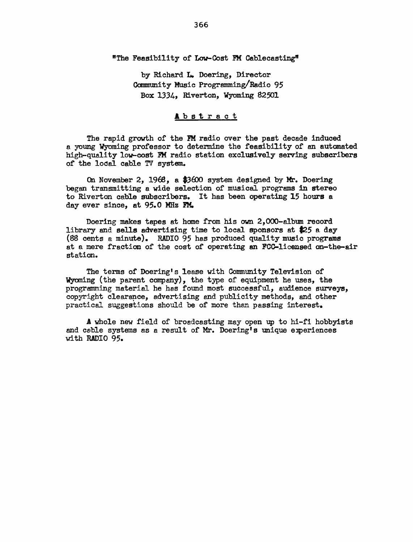#### "The Feasibility of Low-Cost FM Cablecasting"

by Richard L. Doering, Director Community Music Programming/Radio 95 Box 1334, Riverton, Wyoming 82501

### **A**bstract

The rapid growth of the FM radio over the past decade induced a young wyoming professor to determine the feasibility of an automated high-quality low-cost FM radio station exclusively serving subscribers of the lodal cable 'N system.

On November 2, 1968, a \$3600 system designed by Mr. Doering began transmitting a wide selection of musical programs in stereo to Riverton cable subscribers. It has been operating 15 hours a day ever since, at  $95.0$  MHz  $\text{FM}_{\bullet}$ 

Doering makes tapes at home from his own 2, 000-album record library and sells advertising time to local sponsors at \$25 a day (88 cents a minute). RADIO 95 has produced quality music programs at a mere fraction of the cost of operating an FCC-licensed an-the-air station.

The terms of Doering's lease with Community Television of Wyoming (the parent company}, the type of equipment he uses, the programming material he has found most successful, audience surveys, copyright clearance, advertising and publicity methods, and other practical suggestions should be of more than passing interest.

A whole new field of broedcasting may open up to hi-fi hobbyists and cable systems as a result of Mr. Doering's unique experiences with RADIO 95.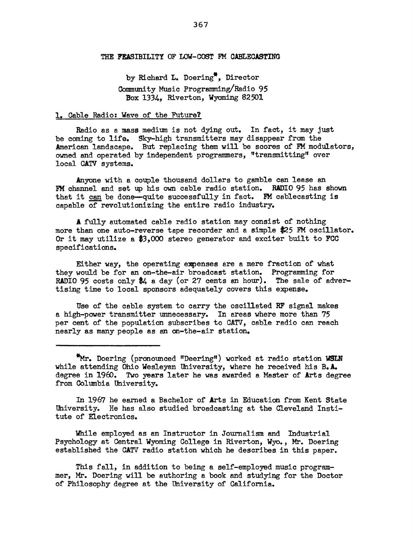#### THE FEASIBILITY OF LOW-COST FM CABLECASTING

by Richard L. Doering\*, Director Community Music Programming/Radio 95 Box 1334, Riverton, Wyoming 82501

#### 1. Cable Radio: Wave of the Future?

Radio as a mass medium is not dying out. In fact, it may just be coming to life. Sky-high transmitters may disappear from the American landscape. But replacing them will be scores of FM modulators, owned and operated by independent programmers, "transmitting" over local CATV systems.

.Anyone with a couple thousand dollars to gamble can lease an FM channel and set up his own cable radio station. RADIO 95 has shown that it can be done-quite successfully in fact. FM cablecasting is capable of revolutionizing the entire radio industry.

A fully automated cable radio station may consist of nothing more than one auto-reverse tape recorder and a simple \$25 FM oscillator. Or it may utilize a *\$3,000* stereo generator and exciter built to FCC specifications.

Either way, the operating expenses are a mere fraction of what they would be for an on-the-air broadcast station. Programming for RADIO 95 costs only \$4 a day (or 27 cents an hour). The sale of advertising time to local sponsors adequately covers this expense.

Use of the cable system to carry the oscillated RF signal makes a high-power transmitter unnecessary. In areas where more than 75 per cent of the population subscribes to CATV, cable radio can reach nearly as many people as an on-the-air station.

\*Mr. Doering (pronotmced "Deering") worked at radio station WSLN while attending Ohio Wesleyan University, where he received his B.A. degree in 1960. Two years later he was awarded a Master of Arts degree from Columbia University.

In 1967 he earned a Bachelor of Arts in Education from Kent State University. He has also studied broadcasting at the Cleveland Institute of Electronics.

While employed as an Instructor in Journalism and Industrial Psychology at Central Wyoming College in Riverton, Wyo., Mr. Doering established the CATV radio station which he describes in this paper.

This fall, in addition to being a self-employed music programmer, Mr. Doering will be authoring a book and studying for the Doctor of Philosophy degree at the University of California.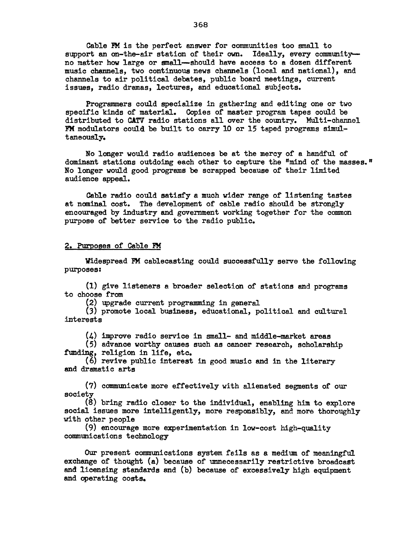Cable FM is the perfect answer for communities too small to support an on-the-air station of their own. Ideally, every communityno matter how large or small--should have access to a dozen different music channels, two continuous news channels (local end national), end channels to air political debates, public board meetings, current issues, radio dramas, lectures, and educational subjects.

Programmers could specialize in gathering and editing one or two specific kinds of material. Copies of master program tapes could be distributed to CATV radio stations all over the country. Multi-channel FM modulators could be built to carry 10 or 15 taped programs simultaneously.

No longer would radio audiences be at the mercy of a handful of dominant stations outdoing each other to capture the "mind of the masses." No longer would good programs be scrapped because of their limited audience appeal.

Cable radio could satisfy a much wider range of listening tastes at nominal cost. The development of cable radio should be strongly encouraged by industry and government working together for the common purpose of better service to the radio public.

#### 2. Purposes of Cable FM

Widespread FM cablecasting could successfully serve the following purposes:

(1) give listeners a broader selection of stations and programs to choose from

(2) upgrade current programming in general

(3) promote local business, educational, political end cultural interests

(4) improve radio service in small- and middle-market areas

(5) advance worthy causes such as cancer research, scholarship funding, religion in life, etc.

(6) revive public interest in good music and in the literary and dramatic arts

(7) communicate more effectively with alienated segments of our society

(8) bring radio closer to the individual, enabling him to explore social issues more intelligently, more responsibly, and more thoroughly with other people

(9) encourage more experimentation in low-cost high-quality communications technology

Our present communications system feils as a medium of meaningful exchange of thought (a) because of unnecessarily restrictive broadcast and licensing standards and (b) because of excessively high equipment and operating costs.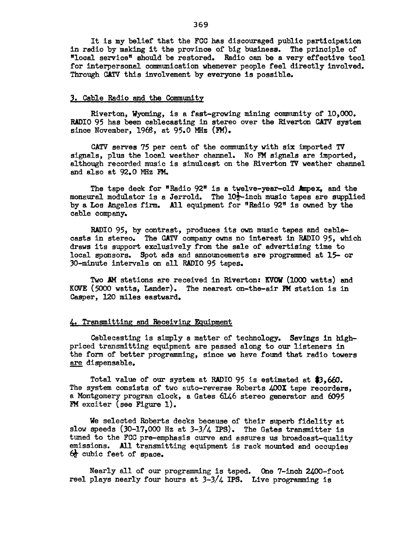It is my belief that the FCC has discouraged public participation in radio by making it the province of big business. The principle of "local service" should be restored. Radio can be a very effective tool for interpersonal communication whenever people feel directly involved. Through CATV this involvement by everyone is possible.

#### 3. Cable Radio and the Community

Riverton, Wyoming, is a fast-growing mining community of 10.000. RADIO 95 has been cablecasting in stereo over the Riverton CATV system since November, 1968, at 95.0 MHz (FM).

CATV serves 75 per cent of the community with six imported TV signals, plus the local weather channel. No FM signels are imported, although recorded music is simulcast on the Riverton TV weather channel and also at 92.0 MHz PM.

The tape deck for "Radio 92" is a twelve-year-old Ampex, and the monaural modulator is a Jerrold. The  $10\frac{1}{2}$ -inch music tapes are supplied by a Los Angeles firm. All equipment for "Radio 92" is owned by the cable company.

RADIO 95, by contrast, produces its own music tapes and cablecasts in stereo. The CATV company owns no interest in RADIO 95, which draws its support exclusively from the sale of advertising time to local sponsors. Spot ads and announcements are programmed at 15- or 30-minute intervals on all RADIO 95 tapes.

Two AM stations are received in Riverton: KVOW (1000 watts) and KOVE (5000 watts, Lander). The nearest on-the-air  $M$  station is in Casper, 120 miles eastward.

#### 4. Transmitting and Receiving Equipment

Cablecasting is simply a matter of technology. Savings in highpriced transmitting equipment are passed along to our listeners in the form of better programming, since we have found that radio towers are dispensable.

Total value of our system at RADIO 95 is estimated at \$3,660. The system consists of two auto-reverse Roberts 400X tape recorders, a Montgomery program clock, a Gates 6146 stereo generator and 6095 FM exciter (see Figure 1).

We selected Roberts decks because of their superb fidelity at slow speeds  $(30-17,000$  Hz at  $3-3/4$  IPS). The Gates transmitter is tuned to the FCC pre-emphasis curve and assures us broadcast-quality emissions. All transmitting equipment is rack mounted and occupies  $6\frac{1}{2}$  cubic feet of space.

Nearly all of our programming is taped. One 7-inch 2400-foot reel plays nearly four hours at  $3-3/4$  IPS. Live programming is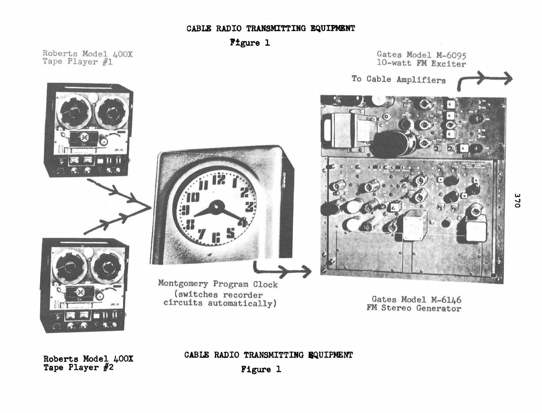### CABLE RADIO TRANSMITTING EQUIPMENT

Figure 1

Roberts Model 400X Tape Player #1



CABLE RADIO TRANSMITTING EQUIPMENT

Roberts Model 400X Tape Player #2

Figure 1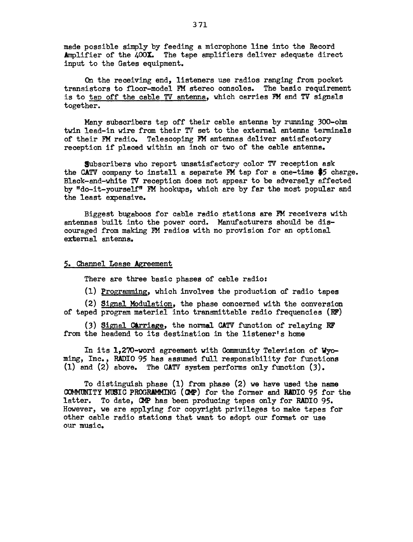made possible simply by feeding a microphone line into the Record Amplifier of the 400X. The tape amplifiers deliver adequate direct input to the Gates equipment.

On the receiving end, listeners use radios ranging from pocket transistors to floor-model FM stereo consoles. The basic requirement is to tap off the cable TV antenna, which carries FM and TV signals together.

Many subscribers tap off their cable antenna by running 300-ohm twin lead-in wire from their TV set to the externel antenna terminels of their FM redio. Telescoping FM antennas deliver satisfactory reception if placed within an inch or two of the cable antenna.

Subscribers who report unsatisfactory color *TV* reception ask the CATV company to install a separate FM tap for a one-time \$5 charge. Black-and-white TV reception does not appear to be adversely affected by "do-it-yourself" FM hookups, which are by far the most popular and the least expensive.

Biggest bugaboos for cable radio stations are FM receivers with antennas built into the power cord. Manufacturers should be discouraged from making FM radios with no provision for an optional external antenna.

#### 5. Channel Lease Agreement

There are three basic phases of cable radio:

(1) Programming, which involves the production of radio tapes

(2) Signal Modulation, the phase concerned with the conversion of taped program material into transmittable radio frequencies (RF)

(3) Signal Carriage, the normal CATV function of relaying RF from the headend to its destination in the listener's home

In its 1,2?0-word agreement with Community Television of Wyoming, Inc., RADIO 95 has assumed full responsibility for functions (1) and (2) above. The CATV system performs only function (J).

To distinguish phase (1) from phase (2) we have used the name CONMUNITY MtSIC PROGRAMMING ( CMP) for the former and RADIO 95 for the latter. To date, CMP has been producing tapes only for RADIO 95. However, we are applying for copyright privileges to make tepes for other cable radio stations that want to adopt our format or use our music.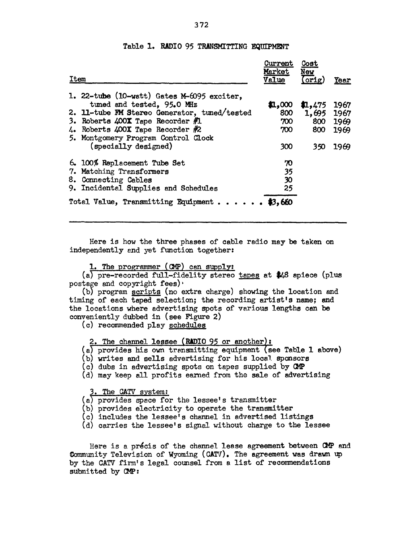| Item                                                                                                                                                                                                                                                                     | Current<br>Market<br>Value              | Cost<br>New<br>$($ orig $)$         | Year                                 |
|--------------------------------------------------------------------------------------------------------------------------------------------------------------------------------------------------------------------------------------------------------------------------|-----------------------------------------|-------------------------------------|--------------------------------------|
| 1. 22-tube (10-watt) Gates M-6095 exciter,<br>tuned and tested, 95.0 MHz<br>2. 11-tube FM Stereo Generator, tuned/tested<br>3. Roberts $400X$ Tape Recorder $#$ 1<br>4. Roberts $400X$ Tape Recorder $#2$<br>5. Montgomery Program Control Clock<br>(specially designed) | \$1,000<br>800<br>700<br>$700 -$<br>300 | 1,475<br>1,695<br>800<br>800<br>350 | 1967<br>1967<br>1969<br>1969<br>1969 |
| 6. 100% Replacement Tube Set<br>7. Matching Transformers<br>8. Connecting Cables<br>9. Incidental Supplies and Schedules<br>Total Value, Transmitting Equipment \$3,650                                                                                                  | 70<br>35<br>30<br>25                    |                                     |                                      |

#### Table 1. RADIO 95 TRANSMITTING EQUIPMENT

Here is how the three phases of cable radio may be taken on independently end yet function together:

1. The programmer  $(MP)$  can supply:

(a) pre-recorded full-fidelity stereo tapes at \$48 apiece (plus postage and copyright fees) $\cdot$ 

(b) program scripts (no extra charge) showing the location end timing of each taped selection; the recording artist's name; and the locations where advertising spots of various lengths can be conveniently dubbed in (see Figure 2)

(c) recommended play schedules

2. The channel lessee (RADIO 95 or another):

 $(a)$  provides his own transmitting equipment (see Table 1 above)

- (b) writes and sells advertising for his local sponsors
- (c) dubs in advertising spots on tapes supplied by  $\mathbf{Q} \mathbf{P}$
- (d) may keep all profits earned from the sale of advertising

3. The CATV system:

- $(a)$  provides space for the lessee's transmitter
- (b) provides electricity to operate the transmitter
- (c) includes the lessee's channel in advertised listings
- (d) carries the lessee's signal without charge to the lessee

Here is a précis of the channel lease agreement between  $\mathbf{CP}$  and Community Television of Wyoming (CATV). The agreement was drawn up by the CATV firm's legal counsel from a list of recommendations submitted by CMP: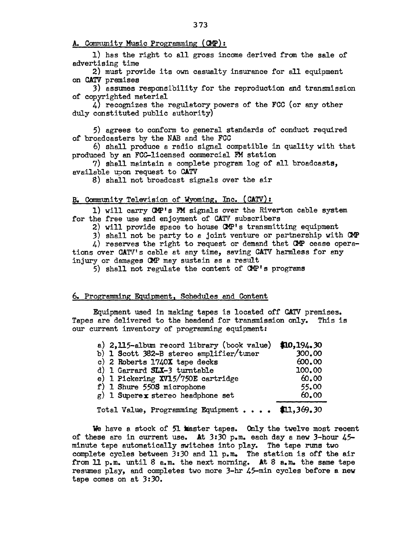A. Community Music Programming (CMP):

1) has the right to all gross income derived from the sale of advertising time

2) must provide its own casualty insurance for all equipment on *CATV* premises

3) assumes responsibility for the reproduction and transmission of copyrighted material

4) recognizes the regulatory powers of the FCC (or any other duly constituted public authority)

5) agrees to conform to general standards of conduct required of broedcasters by the NAB and the FCC

6) shall produce a radio signal compatible in quality with that produced by an FCC-licensed commercial FM station

7) shell maintain a complete program log of all broadcasts, available upon request to CATV

8) shall not broadcast signals over the air

#### B~ Community Television of Wyoming, Inc. (CATV):

1) will carry CMP's FM signals over the Riverton cable system for the free use and enjoyment of CATV subscribers

2) will provide space to house CMP's transmitting equipment

3) shall not be party to *e* joint venture or partnership with CMP

 $\mu$ ) reserves the right to request or demand that CMP cease operations over CATV's cable at any time, saving CATV harmless for any injury or damages CMP may sustain as a result

5) shall not regulate the content of CMP's programs

### 6. Programming Equipment, Schedules and Content

Equipment used in making tapes is located off *CA'N* premises. Tapes are delivered to the headend for transmission only. This is our current inventory of programming equipment:

| a) 2,115-album record library (book value) $$10,194.30$                                                                                                                                                                                              |        |
|------------------------------------------------------------------------------------------------------------------------------------------------------------------------------------------------------------------------------------------------------|--------|
| b) 1 Scott 382-B stereo smplifier/tuner                                                                                                                                                                                                              | 300.00 |
| c) 2 Roberts 1740X tape decks                                                                                                                                                                                                                        | 600.00 |
| d) 1 Garrard SLX-3 turntable                                                                                                                                                                                                                         | 100.00 |
| e) 1 Pickering XV15/750E cartridge                                                                                                                                                                                                                   | 60.00  |
| f) 1 Shure 550S microphone                                                                                                                                                                                                                           | 55.00  |
| $g$ ) 1 Superex stereo headphone set                                                                                                                                                                                                                 | 60.00  |
| $H = 1.5.5$ $H = 7.1$ and $H = 1.00$ $H = 1.00$ $H = 1.00$ $H = 1.00$ $H = 1.00$ $H = 1.00$ $H = 1.00$ $H = 1.00$ $H = 1.00$ $H = 1.00$ $H = 1.00$ $H = 1.00$ $H = 1.00$ $H = 1.00$ $H = 1.00$ $H = 1.00$ $H = 1.00$ $H = 1.00$ $H = 1.00$ $H = 1.0$ |        |

Total Value, Programming Equipment  $\cdots$   $\bullet$  \$11,369.30

We have a stock of 51 master tapes. Only the twelve most recent of these are in current use. At *3:30* p.m. each day a new 3-hour 45 minute tape automatically switches into play. The tape nms two complete cycles between *3:30* and 11 p.m. The station is off the air from 11  $p.m.$  until 8  $a.m.$  the next morning. At 8  $a.m.$  the same tape resumes play, and completes two more 3-hr 45-min cycles before a new tape comes on at *3:30.*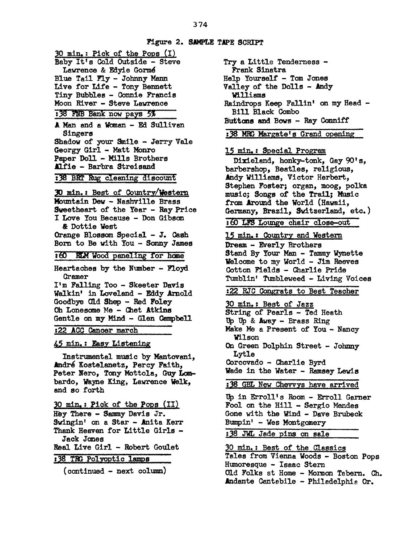**Figure 2. SAMPLE TAPE SCRIPT** 30 min.: Pick of the Pops (I) Baby It's Cold Outside- Steve Lawrence & Edyie Gormé Blue Tail Fly - Johnny Mann Live for Life - Tony Bennett Tiny Bubbles - Connie Francis Moon River - Steve Lawrence :38 FNB Bank now pays 5% A Man and a Wanan - Ed Sullivan Singers Shadow of your Smile - Jerry Vale Georgy Girl - Matt Monro Paper Doll - Mills Brothers .&l.f'ie - Barbre. Streisand :38 BRT RUg cleaning discount .30 min. 1 Best of Country/Western Mbuntain Dew - Nashville Brass Sweetheart of the Year - Ray Price I Love You Because - Don Gibson & Dottie West Orange Blossom Special - J. Cash Born to Be with You - Sonny James :60 RLM Wood paneling for home Heartaches by the Number - Floyd Cramer I'm Falling Too - Skeeter Davis Walkin' in Loveland - Eddy Arnold Goodbye Old Shep - Red Foley Oh Lonesome Me - Chet Atkins Gentle an my Mind - Glen Campbell :22 ACC cancer march 45 min. : Easy Listening Instrumental music by Mantovani, Andre Kostelanetz, Percy Faith, Peter Nero, Tony Mottola, Guy Lombardo, Wayne King, Lawrence Welk, and so forth 30 min, : Pick of the Pops (II) Hey There - Sammy Davis Jr. Swingin' on a Star - Anita Kerr Thenk Heaven for Little Girls - Jack Janes Real Live Girl - Robert Goulet

138 TRG Polyoptic lamps

(continued - next column)

Try a Little Tenderness - Frank Sinatra Help Yourself - Tom Jones Valley of the Dolls - Andy Williams Raindrops Keep Fallin' on my Head -Bill Black Combo BUttons and Bows - Ray Conniff

**138 MRG Margate's Grand opening** 

15 min, : Special Program

Dixieland, honky-tonk, Gay 90's, barbershop, Beatles, religious, Andy Williams, Victor Herbert, Stephen Foster; organ, moog, polka music; Songs of the Trail; Music from Around the World (Hawaii, Germany, Brazil, Switzerland, etc.)

: 00 LFS Lounge chair close-out

15 min.: Country and Western Dream - Everly Brothers Stand By Your Man - Tammy Wynette Welcome to my World - Jim Reeves Cotton Fields - Charlie Pride Tumblin' Tumbleweed - Living Voices

:22 RJC Congrats to Best Teacher

30 min.: Best of Jazz String of Pearls - Ted Heath Up Up & Away - Brass Ring Make Me a Present of You - Nancy Wilson On Green Dolphin Street - Johnny Lytle Corcovado - Charlie Byrd Wade in the Water - Ramsey Lewis :38 GBL New Chevvys have arrived Up in Erroll's Room - Erroll Garner Fool on the Hill - Sergio Mendes Gone with the Wind - Dave Brubeck  $Bumpin'$  - Wes Montgomery :38 JWL Jade pins on sale 30 min.: Best of the Classics

Teles from Vienna Woods - Boston Pops Humoresque - Isaac Stern Old Folks at Home - Momon Tabern. Ch. Andante Cantabile - Philadelphia Or.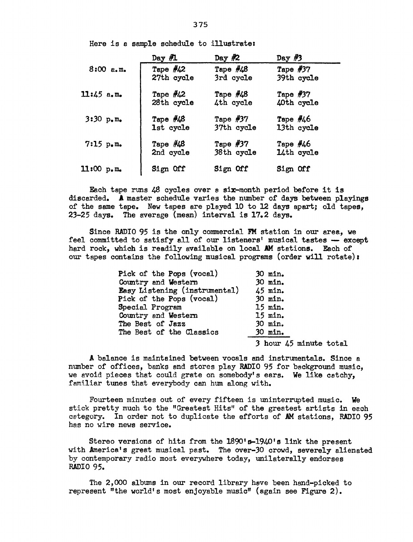Here is a sample schedule to illustratez

|                               | Day $\#$ 1                | Day $#2$                 | Day $#3$                 |  |
|-------------------------------|---------------------------|--------------------------|--------------------------|--|
| $8:00$ $a.m.$                 | Tape $\#42$<br>27th cycle | Tape $\#48$<br>3rd cycle | Tape $#37$<br>39th cycle |  |
| $11:45$ a.m.                  | Tape $\#42$<br>28th cycle | Tape $\#48$<br>4th cycle | Tape $#37$<br>40th cycle |  |
| $3:30 p_{\bullet}m_{\bullet}$ | Tape $\#48$<br>1st cycle  | Tape $#37$<br>37th cycle | Tape $#46$<br>13th cycle |  |
| $7:15$ p.m.                   | Tape $\#48$<br>2nd cycle  | Tape $#37$<br>38th cycle | Tape $#46$<br>14th cycle |  |
| 11:00 p.m.                    | Sign Off                  | Sign Off                 | Sign Off                 |  |

Each tape runs 48 cycles over a six-month period before it is discarded. A master schedule varies the number of days between playings of the same tape. New tapes are played 10 to 12 days apart; old tapes, 23-25 days. The average (mean) interval is 17.2 days.

Since RADIO 95 is the only commercial PM station in our area, we feel committed to satisfy all of our listeners' musical tastes  $-$  except hard rock, which is readily available on local AM stations. Each of our tapes contains the following musical programs (order will rotate)r

| Pick of the Pops (vocal)      | 30 min. |
|-------------------------------|---------|
| Country and Western           | 30 min. |
| Easy Listening (instrumental) | 45 min. |
| Pick of the Pops (vocal)      | 30 min. |
| Special Program               | 15 min. |
| Country and Western           | 15 min. |
| The Best of Jazz              | 30 min. |
| The Best of the Classics      | 30 min. |
|                               | $2 - 1$ |

*3* hour 45 minute total

A balance is maintained between vocals and instrumentals. Since a number of offices, banks and stores play RADIO 95 for background music, we avoid pieces that could grate on somebody's ears. We like catchy, familiar tunes that everybody can hum along with.

Fourteen minutes out of every fifteen is uninterrupted music. We stick pretty much to the "Greatest Hits" of the greetest artists in each cetegory. In order not to duplicate the efforts of AM stations, RADIO 95 has no wire news service.

Stereo versions of hits from the 1890's-1940's link the present with America's great musical past. The over-30 crowd, severely alienated by contemporary radio most everywhere today, unilaterally endorses RADIO 95.

The 2,000 albums in our record library have been hand-picked to represent "the world's most enjoyable music" (again see Figure 2).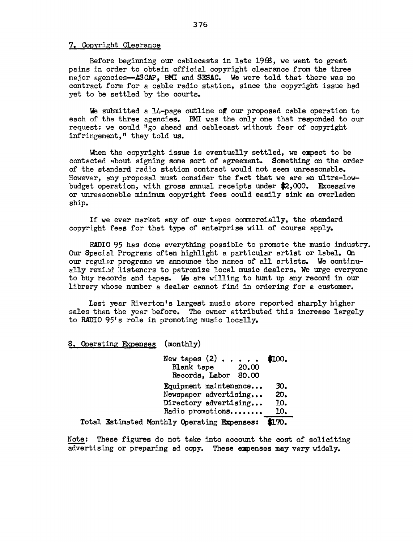#### 7. Copyright Clearance

Before beginning our cablecasts in late 1968, we went to great pains in order to obtain official copyright clearance from the three major agencies--ASCAP, BMI and SESAC. We were told that there was no contract form for a cable radio station, since the copyright issue had yet to be settled by the courts.

We submitted a  $14$ -page outline of our proposed cable operation to each of the three agencies. BMI was the only one that responded to our request: we could "go ahead. and cablecast without fear of copyright infringement," they told us.

When the copyright issue is eventually settled, we expect to be contacted about signing some sort of agreement. Something on the order of the standard radio station contract would not seem unreasonable. However, any proposal must consider the fact that we are an ultra-lowbudget operation, with gross annual receipts under \$2,000. Excessive or unreasonable minimum copyright fees could easily sink en overladen ship.

If we ever market any of our tapes commercially, the standard copyright fees for that type of enterprise will of course apply.

RADIO 95 has done everything possible to promote the music industry. Our Special Programs often highlight *e.* particular artist or label. On our regular programs we announce the names of all artists. We continually remind listeners to patronize local music dealers. We urge everyone to buy records and tapes. We are willing to hmt up any record in our library whose number a dealer cannot find in ordering for a customer.

Last year Riverton's largest music store reported sharply higher sales than the year before. The owner attributed this increase largely to RADIO 95's role in promoting music locally.

#### 8. Operating Expenses (monthly)

New tapes  $(2)$  . . . . . Blank tape 20.00 Records, Labor 80.00 \$100. Equipment maintenance... 30.<br>Newspaper advertising... 20. Newspaper advertising... Directory advertising... 10.<br>Radio promotions........ 10. Radio promotions........ Total Estimated Monthly Operating Expenses: \$170.

Note: These figures do not take into accomt the cost of soliciting advertising or preparing ad copy. These expenses may vary widely.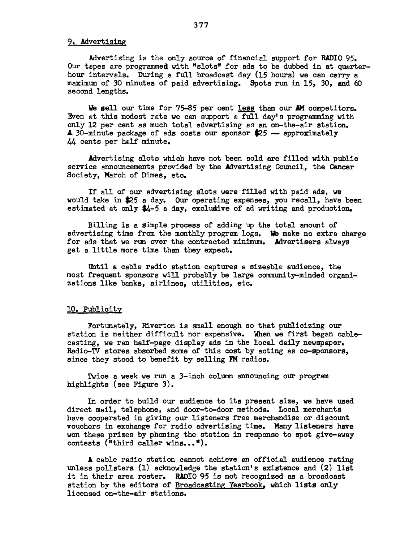#### 9. Advertising

Advertising is the only source of financial support for RADIO 95. Our tapes are programmed with "slots" for ads to be dubbed in at quarterhour intervals. During a full broadcast day (15 hours) we can cerry a maximum of 30 minutes of paid advertising. Spots run in 15, 30, and  $60$ second lengths.

We sell our time for 75-85 per cent less than our AM competitors. Even at this modest rate ve can support a full day's programming with only 12 per cent as much total advertising as an on-the-air station.  $\triangle$  30-minute package of ads costs our sponsor  $\clubsuit$ 25 - approximately 44 cents per half minute.

Advertising slots which have not been sold are filled with public service announcements provided by the Advertising Council, the Cancer Society, March of Dimes, etc.

If all of our advertising slots were filled with paid ads, ve would take in \$25 a day. Our operating expenses, you recall, have been estimated at only \$4-5 a day, excludive of ad writing and production.

Billing is a simple process of adding up the total amount of advertising time from the monthly program logs. We make no extra charge for ads that ve run over the contracted minimum. Advertisers always get a little more time than they expect.

Uhtil a cable radio station captures a sizeable audience, the most frequent sponsors will probably be large community-minded organizations like banks, airlines, utilities, etc.

#### 10. Publicity

Fortunately, Riverton is small enough so that publicizing our station is neither difficult nor expensive. When ve first began cablecasting, we ran half-page display ads in the local daily newspaper. Radio-TV stores absorbed some of this cost by acting as co-sponsors, since they stood to benefit by selling FM radios.

Twice a week we run a 3-inch column announcing our program highlights (see Figure  $3$ ).

In order to build our audience to its present size, ve have used direct mail, telephone, and door-to-door methods. Local merchants have cooperated in giving our listeners free merchandise or discount vouchers in exchange for radio advertising time. Many listeners heve von these prizes by phoning the station in response to spot give-sway contests ("third caller wins...").

A cable radio station cannot achieve an official audience rating unless pollsters (1) acknowledge the station's existence and (2) list it in their area roster. RADIO 95 is not recognized as a broadcast station by the editors of Broadcasting Yearbook, which lists only licensed on-the-air stations.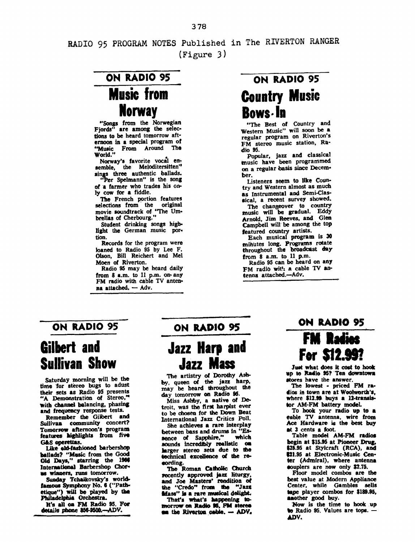RADIO 95 PROGRAM NOTES Published in The RIVERTON RANGER (Figure 3)

## ON RADIO 95 Music from **Norway**

••Songs from the Norwegian Fjords" are among the selec-<br>tions to be heard tomorrow afternoon in a special program of "Music From Around The<br>World."

Norway's favorite vocal ensemble, the Meloditersitten'' sings three authentic ballads.<br>"Per Spelmann" is the song

of a farmer who trades his on-<br>ly cow for a fiddle.

The French portion features selections from the original movie soundtrack of "The Umbrellas of Cherbourg."

Student drinking songs higblight the German music portion.

Records for the program were loaned to Radio 95 by Lee F. Olson, Bill Reichert and Mel Moen of Riverton.

Radio 95 may be heard daily from 8 a.m. to 11 p.m. on• any FM radio with cable TV antenna attached.  $-$  Adv.

# ON RADIO 95 Country Music Bows-la

"The Best of Country and<br>Western Music" will soon be a regular program on Riverton's FM stereo music station, Ra· dio 95.

Popular, jazz and classical music have been programmed on a regular basis since Decem• ber •

Listeners seem to like Coun· try and Western almost as much as Instrumental and Semi-Classical, a recent survey showed.

The changeover to country music will be gradual. Eddy Arnold, Jim Reeves, and Glen Campbell will be among the top featured country artists.

Each musical program is 30 mihutes long. Programs rotate throughout the broadcast day

Radio 95 can be heard on any FM radio with a cable TV antenna attached.-Adv.

# Gilbert and Sullivan Show

Saturday morning will be the time for stereo bugs to adust their sets as Radio 95 presents "A Demonstration of Stereo," with channel balancing, phasing and frequency response tests.

Remember the Gilbert and Sullivaa community concert? Tomorrow afternoon's program features highlights from five<br>G&S operettas.

Like eld-fashioned barbershop hallads? "Music from the Good Old Days," starring the 1966 International Barbershop Chorus winners, runs tomorrow.

Suada7 Tchaikovsky's worldfamous Symphony No. 6 ("Pathetique") will be played by tbe Philadelphia Orchestra.

It's all oa FM Radio 95. For details phone 856-9500.--ADV.

### ON RADIO 95 ON RADIO 95

# Jazz Harp and Jazz Mass

The artistry of Dorothy Ashby, queen of the jazz harp, may be beard throughout the day tomorrow on Radio 96.

Miss Ashby, a native of Detroit, was the firit harpist ever to be chosen for the Down Beat International Jazz Critics Poll.

She achieves a rare interplay between bass and drums in "Es-<br>sence of Sapphire." which sence of Sapphire," aounds Incredibly realistic oa larger stereo sets due to the technical excellence of the reeording.

The Roman Catholic Church recently approved jazz liturgy, and Joe Masters' rendition *ol*  the "Credo" from the "Jazz Mass" is a rare musical delight.

That's what's happening to-**INOTIOW** on Radio 95, FM steree ea the Riverton cable. - ADV.

### ON RADIO 95

# FM Radios For \$12.99?

Just what does it cost to hook up to Radie up to Radio 95? Ten do  $\overrightarrow{AB}$  it cost to hook<br>Ten downtown<br>mswer.

The lowest • priced FM ra dios in town are at Woolworth's. where \$12.99 buys a 12-transistor AM-FM battery model

To hook your radio up to a eable TV antenna, wire from Ace Hardware is the best buy at 3 cents a foot.

Table model AM-FM radios begin at \$15.95 at Pioneer Drug. \$25.95 at Stylcraft (RCA), and **\$21.95 at Electronic-Music Cen**ter (Admiral), where antenna eouplers are now only \$2.75.

Floor model combos are the best value at Modern Appliance Center, while Gambles sells tape player combos for \$189.95, another good buy.

:Now is the time to hook up to Radio 95. Values are tops. -AJ)V.

#### 378